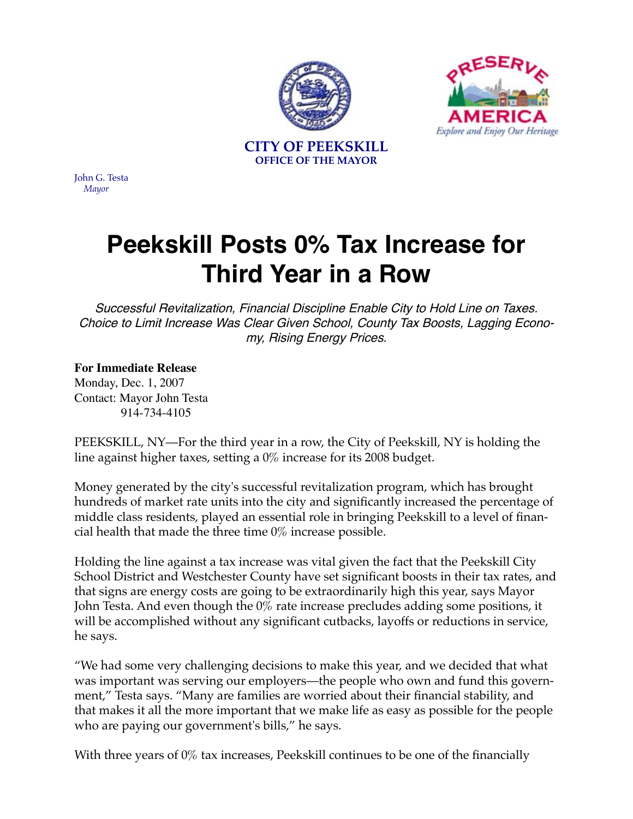



**CITY OF PEEKSKILL OFFICE OF THE MAYOR**

John G. Testa *Mayor*

## **Peekskill Posts 0% Tax Increase for Third Year in a Row**

Successful Revitalization, Financial Discipline Enable City to Hold Line on Taxes. Choice to Limit Increase Was Clear Given School, County Tax Boosts, Lagging Economy, Rising Energy Prices.

## **For Immediate Release**

Monday, Dec. 1, 2007 Contact: Mayor John Testa 914-734-4105

PEEKSKILL, NY—For the third year in a row, the City of Peekskill, NY is holding the line against higher taxes, setting a 0% increase for its 2008 budget.

Money generated by the city's successful revitalization program, which has brought hundreds of market rate units into the city and significantly increased the percentage of middle class residents, played an essential role in bringing Peekskill to a level of financial health that made the three time 0% increase possible.

Holding the line against a tax increase was vital given the fact that the Peekskill City School District and Westchester County have set significant boosts in their tax rates, and that signs are energy costs are going to be extraordinarily high this year, says Mayor John Testa. And even though the 0% rate increase precludes adding some positions, it will be accomplished without any significant cutbacks, layoffs or reductions in service, he says.

"We had some very challenging decisions to make this year, and we decided that what was important was serving our employers—the people who own and fund this government," Testa says. "Many are families are worried about their financial stability, and that makes it all the more important that we make life as easy as possible for the people who are paying our government's bills," he says.

With three years of 0% tax increases, Peekskill continues to be one of the financially